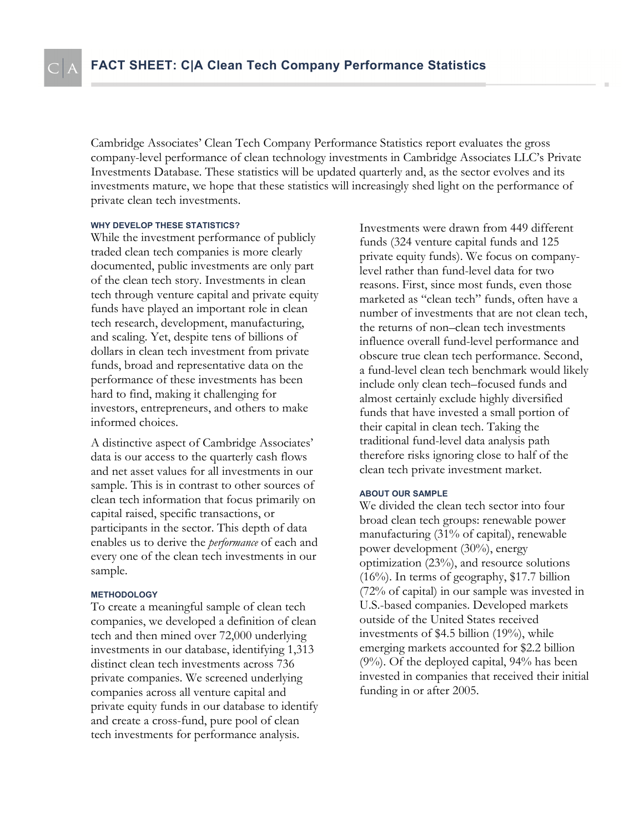Cambridge Associates' Clean Tech Company Performance Statistics report evaluates the gross company-level performance of clean technology investments in Cambridge Associates LLC's Private Investments Database. These statistics will be updated quarterly and, as the sector evolves and its investments mature, we hope that these statistics will increasingly shed light on the performance of private clean tech investments.

#### **WHY DEVELOP THESE STATISTICS?**

While the investment performance of publicly traded clean tech companies is more clearly documented, public investments are only part of the clean tech story. Investments in clean tech through venture capital and private equity funds have played an important role in clean tech research, development, manufacturing, and scaling. Yet, despite tens of billions of dollars in clean tech investment from private funds, broad and representative data on the performance of these investments has been hard to find, making it challenging for investors, entrepreneurs, and others to make informed choices.

A distinctive aspect of Cambridge Associates' data is our access to the quarterly cash flows and net asset values for all investments in our sample. This is in contrast to other sources of clean tech information that focus primarily on capital raised, specific transactions, or participants in the sector. This depth of data enables us to derive the *performance* of each and every one of the clean tech investments in our sample.

#### **METHODOLOGY**

To create a meaningful sample of clean tech companies, we developed a definition of clean tech and then mined over 72,000 underlying investments in our database, identifying 1,313 distinct clean tech investments across 736 private companies. We screened underlying companies across all venture capital and private equity funds in our database to identify and create a cross-fund, pure pool of clean tech investments for performance analysis.

Investments were drawn from 449 different funds (324 venture capital funds and 125 private equity funds). We focus on companylevel rather than fund-level data for two reasons. First, since most funds, even those marketed as "clean tech" funds, often have a number of investments that are not clean tech, the returns of non–clean tech investments influence overall fund-level performance and obscure true clean tech performance. Second, a fund-level clean tech benchmark would likely include only clean tech–focused funds and almost certainly exclude highly diversified funds that have invested a small portion of their capital in clean tech. Taking the traditional fund-level data analysis path therefore risks ignoring close to half of the clean tech private investment market.

#### **ABOUT OUR SAMPLE**

We divided the clean tech sector into four broad clean tech groups: renewable power manufacturing (31% of capital), renewable power development (30%), energy optimization (23%), and resource solutions (16%). In terms of geography, \$17.7 billion (72% of capital) in our sample was invested in U.S.-based companies. Developed markets outside of the United States received investments of \$4.5 billion (19%), while emerging markets accounted for \$2.2 billion (9%). Of the deployed capital, 94% has been invested in companies that received their initial funding in or after 2005.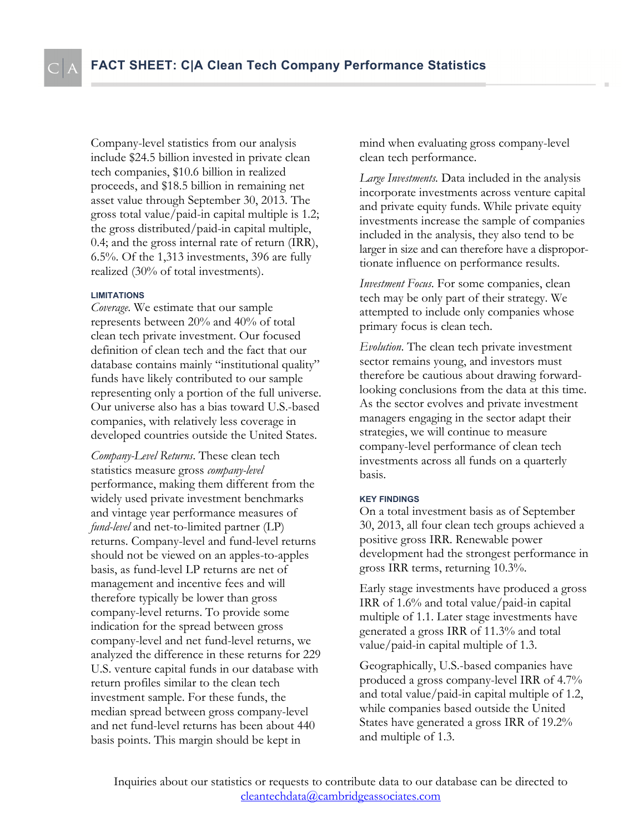Company-level statistics from our analysis include \$24.5 billion invested in private clean tech companies, \$10.6 billion in realized proceeds, and \$18.5 billion in remaining net asset value through September 30, 2013. The gross total value/paid-in capital multiple is 1.2; the gross distributed/paid-in capital multiple, 0.4; and the gross internal rate of return (IRR), 6.5%. Of the 1,313 investments, 396 are fully realized (30% of total investments).

#### **LIMITATIONS**

*Coverage*. We estimate that our sample represents between 20% and 40% of total clean tech private investment. Our focused definition of clean tech and the fact that our database contains mainly "institutional quality" funds have likely contributed to our sample representing only a portion of the full universe. Our universe also has a bias toward U.S.-based companies, with relatively less coverage in developed countries outside the United States.

*Company-Level Returns*. These clean tech statistics measure gross *company-level* performance, making them different from the widely used private investment benchmarks and vintage year performance measures of *fund-level* and net-to-limited partner (LP) returns. Company-level and fund-level returns should not be viewed on an apples-to-apples basis, as fund-level LP returns are net of management and incentive fees and will therefore typically be lower than gross company-level returns. To provide some indication for the spread between gross company-level and net fund-level returns, we analyzed the difference in these returns for 229 U.S. venture capital funds in our database with return profiles similar to the clean tech investment sample. For these funds, the median spread between gross company-level and net fund-level returns has been about 440 basis points. This margin should be kept in

mind when evaluating gross company-level clean tech performance.

*Large Investments.* Data included in the analysis incorporate investments across venture capital and private equity funds. While private equity investments increase the sample of companies included in the analysis, they also tend to be larger in size and can therefore have a disproportionate influence on performance results.

*Investment Focus*. For some companies, clean tech may be only part of their strategy. We attempted to include only companies whose primary focus is clean tech.

*Evolution*. The clean tech private investment sector remains young, and investors must therefore be cautious about drawing forwardlooking conclusions from the data at this time. As the sector evolves and private investment managers engaging in the sector adapt their strategies, we will continue to measure company-level performance of clean tech investments across all funds on a quarterly basis.

#### **KEY FINDINGS**

On a total investment basis as of September 30, 2013, all four clean tech groups achieved a positive gross IRR. Renewable power development had the strongest performance in gross IRR terms, returning 10.3%.

Early stage investments have produced a gross IRR of 1.6% and total value/paid-in capital multiple of 1.1. Later stage investments have generated a gross IRR of 11.3% and total value/paid-in capital multiple of 1.3.

Geographically, U.S.-based companies have produced a gross company-level IRR of 4.7% and total value/paid-in capital multiple of 1.2, while companies based outside the United States have generated a gross IRR of 19.2% and multiple of 1.3.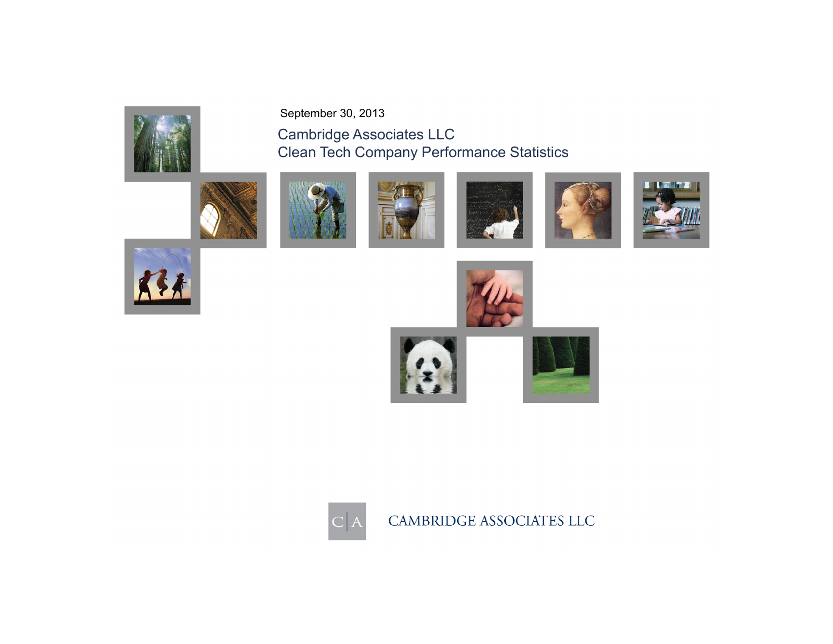





Clean Tech Company Performance Statistics

Cambridge Associates LLC

September 30, 2013













CAMBRIDGE ASSOCIATES LLC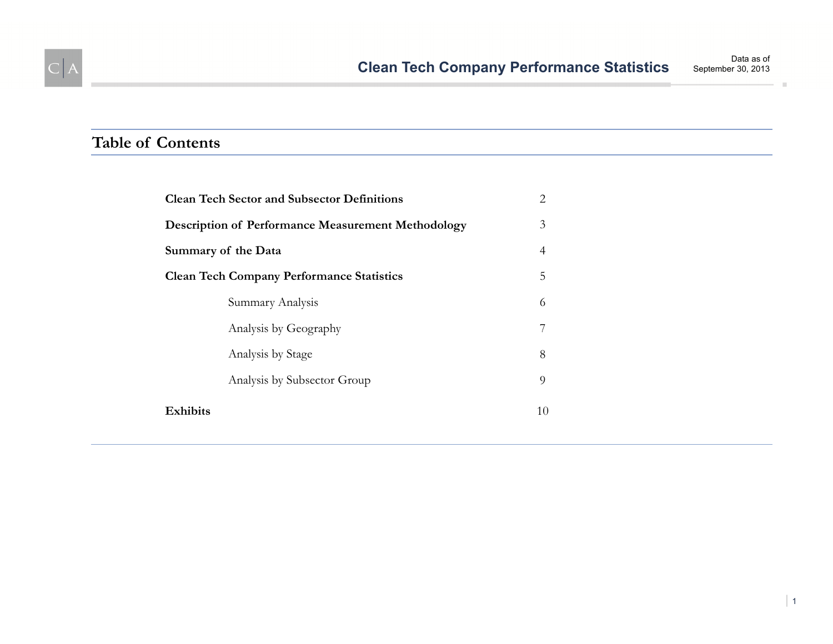

 $C|A$ 

| 3<br><b>Description of Performance Measurement Methodology</b><br>Summary of the Data<br>4<br>5<br><b>Clean Tech Company Performance Statistics</b><br>Summary Analysis<br>6<br>Analysis by Geography<br>7<br>8<br>Analysis by Stage<br>9<br>Analysis by Subsector Group<br>Exhibits<br>10 | <b>Clean Tech Sector and Subsector Definitions</b> | 2 |
|--------------------------------------------------------------------------------------------------------------------------------------------------------------------------------------------------------------------------------------------------------------------------------------------|----------------------------------------------------|---|
|                                                                                                                                                                                                                                                                                            |                                                    |   |
|                                                                                                                                                                                                                                                                                            |                                                    |   |
|                                                                                                                                                                                                                                                                                            |                                                    |   |
|                                                                                                                                                                                                                                                                                            |                                                    |   |
|                                                                                                                                                                                                                                                                                            |                                                    |   |
|                                                                                                                                                                                                                                                                                            |                                                    |   |
|                                                                                                                                                                                                                                                                                            |                                                    |   |
|                                                                                                                                                                                                                                                                                            |                                                    |   |

| 1

 $\mathbb{R}^2$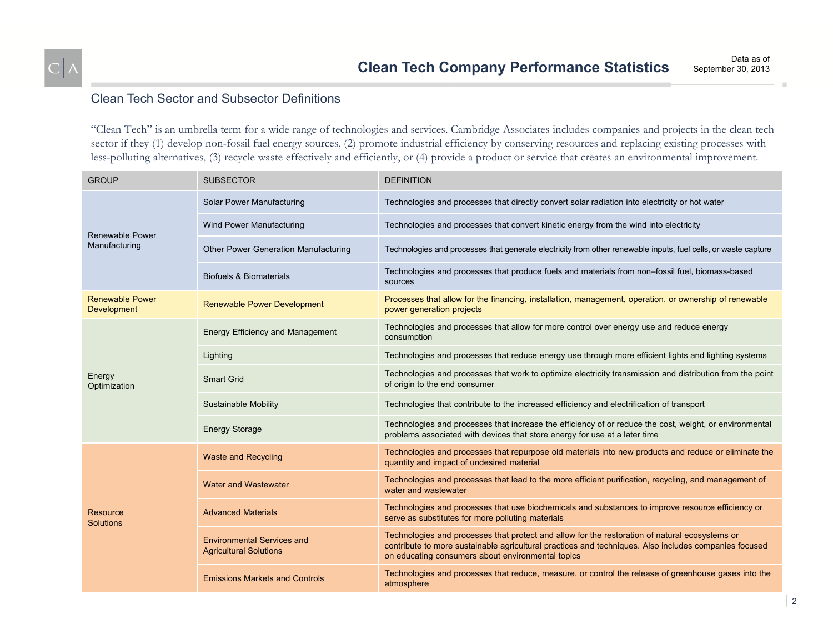## Clean Tech Sector and Subsector Definitions

"Clean Tech" is an umbrella term for a wide range of technologies and services. Cambridge Associates includes companies and projects in the clean tech sector if they (1) develop non-fossil fuel energy sources, (2) promote industrial efficiency by conserving resources and replacing existing processes with less-polluting alternatives, (3) recycle waste effectively and efficiently, or (4) provide a product or service that creates an environmental improvement.

| <b>GROUP</b>                            | <b>SUBSECTOR</b>                                                   | <b>DEFINITION</b>                                                                                                                                                                                                                                            |
|-----------------------------------------|--------------------------------------------------------------------|--------------------------------------------------------------------------------------------------------------------------------------------------------------------------------------------------------------------------------------------------------------|
| <b>Renewable Power</b><br>Manufacturing | Solar Power Manufacturing                                          | Technologies and processes that directly convert solar radiation into electricity or hot water                                                                                                                                                               |
|                                         | Wind Power Manufacturing                                           | Technologies and processes that convert kinetic energy from the wind into electricity                                                                                                                                                                        |
|                                         | Other Power Generation Manufacturing                               | Technologies and processes that generate electricity from other renewable inputs, fuel cells, or waste capture                                                                                                                                               |
|                                         | <b>Biofuels &amp; Biomaterials</b>                                 | Technologies and processes that produce fuels and materials from non-fossil fuel, biomass-based<br>sources                                                                                                                                                   |
| <b>Renewable Power</b><br>Development   | <b>Renewable Power Development</b>                                 | Processes that allow for the financing, installation, management, operation, or ownership of renewable<br>power generation projects                                                                                                                          |
| Energy<br>Optimization                  | <b>Energy Efficiency and Management</b>                            | Technologies and processes that allow for more control over energy use and reduce energy<br>consumption                                                                                                                                                      |
|                                         | Lighting                                                           | Technologies and processes that reduce energy use through more efficient lights and lighting systems                                                                                                                                                         |
|                                         | <b>Smart Grid</b>                                                  | Technologies and processes that work to optimize electricity transmission and distribution from the point<br>of origin to the end consumer                                                                                                                   |
|                                         | Sustainable Mobility                                               | Technologies that contribute to the increased efficiency and electrification of transport                                                                                                                                                                    |
|                                         | <b>Energy Storage</b>                                              | Technologies and processes that increase the efficiency of or reduce the cost, weight, or environmental<br>problems associated with devices that store energy for use at a later time                                                                        |
| Resource<br><b>Solutions</b>            | <b>Waste and Recycling</b>                                         | Technologies and processes that repurpose old materials into new products and reduce or eliminate the<br>quantity and impact of undesired material                                                                                                           |
|                                         | <b>Water and Wastewater</b>                                        | Technologies and processes that lead to the more efficient purification, recycling, and management of<br>water and wastewater                                                                                                                                |
|                                         | <b>Advanced Materials</b>                                          | Technologies and processes that use biochemicals and substances to improve resource efficiency or<br>serve as substitutes for more polluting materials                                                                                                       |
|                                         | <b>Environmental Services and</b><br><b>Agricultural Solutions</b> | Technologies and processes that protect and allow for the restoration of natural ecosystems or<br>contribute to more sustainable agricultural practices and techniques. Also includes companies focused<br>on educating consumers about environmental topics |
|                                         | <b>Emissions Markets and Controls</b>                              | Technologies and processes that reduce, measure, or control the release of greenhouse gases into the<br>atmosphere                                                                                                                                           |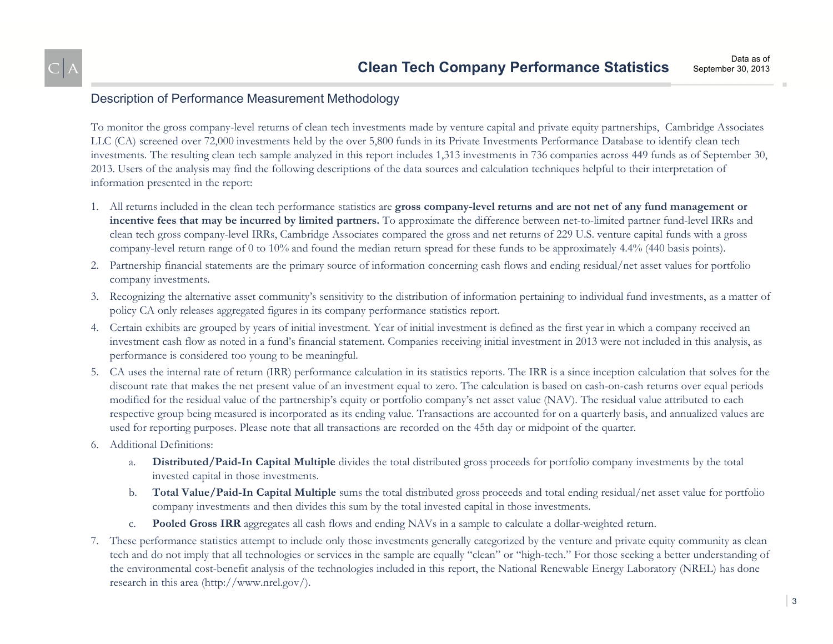## Description of Performance Measurement Methodology

To monitor the gross company-level returns of clean tech investments made by venture capital and private equity partnerships, Cambridge Associates LLC (CA) screened over 72,000 investments held by the over 5,800 funds in its Private Investments Performance Database to identify clean tech investments. The resulting clean tech sample analyzed in this report includes 1,313 investments in 736 companies across 449 funds as of September 30, 2013. Users of the analysis may find the following descriptions of the data sources and calculation techniques helpful to their interpretation of information presented in the report:

- 1. All returns included in the clean tech performance statistics are **gross company-level returns and are not net of any fund management or incentive fees that may be incurred by limited partners.** To approximate the difference between net-to-limited partner fund-level IRRs and clean tech gross company-level IRRs, Cambridge Associates compared the gross and net returns of 229 U.S. venture capital funds with a gross company-level return range of 0 to 10% and found the median return spread for these funds to be approximately 4.4% (440 basis points).
- 2. Partnership financial statements are the primary source of information concerning cash flows and ending residual/net asset values for portfolio company investments.
- 3. Recognizing the alternative asset community's sensitivity to the distribution of information pertaining to individual fund investments, as a matter of policy CA only releases aggregated figures in its company performance statistics report.
- 4. Certain exhibits are grouped by years of initial investment. Year of initial investment is defined as the first year in which a company received an investment cash flow as noted in a fund's financial statement. Companies receiving initial investment in 2013 were not included in this analysis, as performance is considered too young to be meaningful.
- 5. CA uses the internal rate of return (IRR) performance calculation in its statistics reports. The IRR is a since inception calculation that solves for the discount rate that makes the net present value of an investment equal to zero. The calculation is based on cash-on-cash returns over equal periods modified for the residual value of the partnership's equity or portfolio company's net asset value (NAV). The residual value attributed to each respective group being measured is incorporated as its ending value. Transactions are accounted for on a quarterly basis, and annualized values are used for reporting purposes. Please note that all transactions are recorded on the 45th day or midpoint of the quarter.
- 6. Additional Definitions:
	- a. **Distributed/Paid-In Capital Multiple** divides the total distributed gross proceeds for portfolio company investments by the total invested capital in those investments.
	- b. **Total Value/Paid-In Capital Multiple** sums the total distributed gross proceeds and total ending residual/net asset value for portfolio company investments and then divides this sum by the total invested capital in those investments.
	- c.**Pooled Gross IRR** aggregates all cash flows and ending NAVs in a sample to calculate a dollar-weighted return.
- 7. These performance statistics attempt to include only those investments generally categorized by the venture and private equity community as clean tech and do not imply that all technologies or services in the sample are equally "clean" or "high-tech." For those seeking a better understanding of the environmental cost-benefit analysis of the technologies included in this report, the National Renewable Energy Laboratory (NREL) has done research in this area (http://www.nrel.gov/).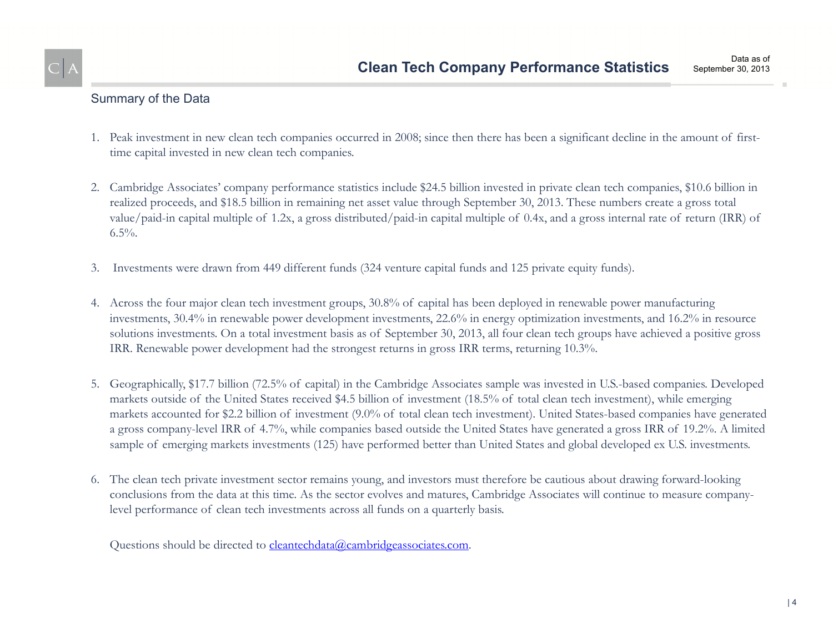## Summary of the Data

- 1. Peak investment in new clean tech companies occurred in 2008; since then there has been a significant decline in the amount of firsttime capital invested in new clean tech companies.
- 2. Cambridge Associates' company performance statistics include \$24.5 billion invested in private clean tech companies, \$10.6 billion in realized proceeds, and \$18.5 billion in remaining net asset value through September 30, 2013. These numbers create a gross total value/paid-in capital multiple of 1.2x, a gross distributed/paid-in capital multiple of 0.4x, and a gross internal rate of return (IRR) of  $6.5\%$ .
- 3. Investments were drawn from 449 different funds (324 venture capital funds and 125 private equity funds).
- 4. Across the four major clean tech investment groups, 30.8% of capital has been deployed in renewable power manufacturing investments, 30.4% in renewable power development investments, 22.6% in energy optimization investments, and 16.2% in resource solutions investments. On a total investment basis as of September 30, 2013, all four clean tech groups have achieved a positive gross IRR. Renewable power development had the strongest returns in gross IRR terms, returning 10.3%.
- 5. Geographically, \$17.7 billion (72.5% of capital) in the Cambridge Associates sample was invested in U.S.-based companies. Developed markets outside of the United States received \$4.5 billion of investment (18.5% of total clean tech investment), while emerging markets accounted for \$2.2 billion of investment (9.0% of total clean tech investment). United States-based companies have generated a gross company-level IRR of 4.7%, while companies based outside the United States have generated a gross IRR of 19.2%. A limited sample of emerging markets investments (125) have performed better than United States and global developed ex U.S. investments.
- 6. The clean tech private investment sector remains young, and investors must therefore be cautious about drawing forward-looking conclusions from the data at this time. As the sector evolves and matures, Cambridge Associates will continue to measure companylevel performance of clean tech investments across all funds on a quarterly basis.

Questions should be directed to cleantechdata@cambridgeassociates.com.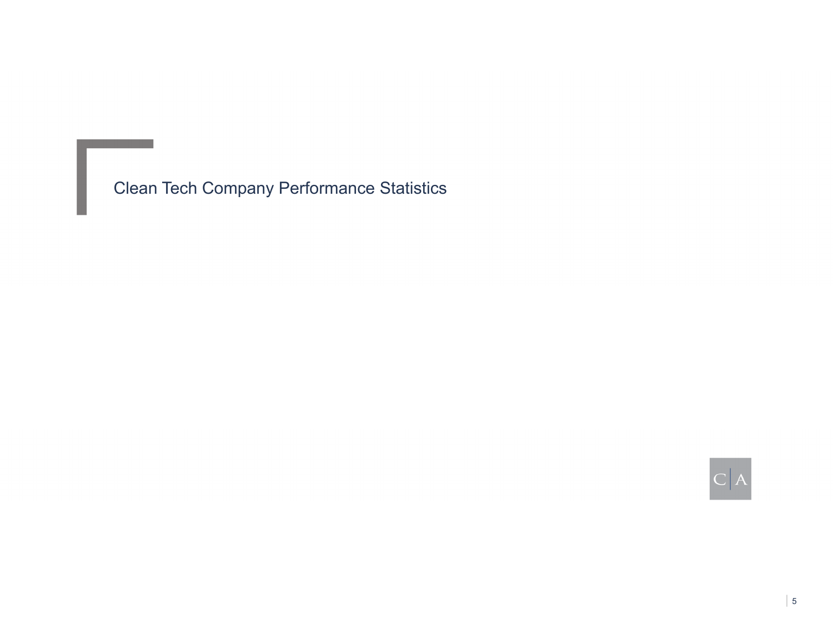Clean Tech Company Performance Statistics

 $|C|A$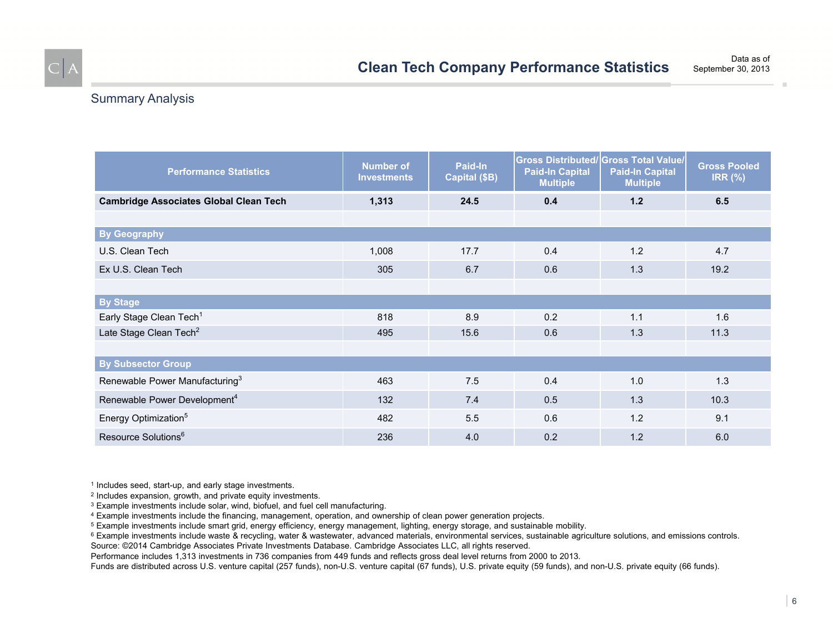## Summary Analysis

| <b>Performance Statistics</b>                 | <b>Number of</b><br><b>Investments</b> | Paid-In<br>Capital (\$B) | <b>Paid-In Capital</b><br><b>Multiple</b> | <b>Gross Distributed/ Gross Total Value/</b><br><b>Paid-In Capital</b><br><b>Multiple</b> | <b>Gross Pooled</b><br><b>IRR (%)</b> |  |
|-----------------------------------------------|----------------------------------------|--------------------------|-------------------------------------------|-------------------------------------------------------------------------------------------|---------------------------------------|--|
| <b>Cambridge Associates Global Clean Tech</b> | 1,313                                  | 24.5                     | 0.4                                       | 1.2                                                                                       | 6.5                                   |  |
|                                               |                                        |                          |                                           |                                                                                           |                                       |  |
| <b>By Geography</b>                           |                                        |                          |                                           |                                                                                           |                                       |  |
| U.S. Clean Tech                               | 1,008                                  | 17.7                     | 0.4                                       | 1.2                                                                                       | 4.7                                   |  |
| Ex U.S. Clean Tech                            | 305                                    | 6.7                      | 0.6                                       | 1.3                                                                                       | 19.2                                  |  |
|                                               |                                        |                          |                                           |                                                                                           |                                       |  |
| <b>By Stage</b>                               |                                        |                          |                                           |                                                                                           |                                       |  |
| Early Stage Clean Tech <sup>1</sup>           | 818                                    | 8.9                      | 0.2                                       | 1.1                                                                                       | 1.6                                   |  |
| Late Stage Clean Tech <sup>2</sup>            | 495                                    | 15.6                     | 0.6                                       | 1.3                                                                                       | 11.3                                  |  |
|                                               |                                        |                          |                                           |                                                                                           |                                       |  |
| <b>By Subsector Group</b>                     |                                        |                          |                                           |                                                                                           |                                       |  |
| Renewable Power Manufacturing <sup>3</sup>    | 463                                    | 7.5                      | 0.4                                       | 1.0                                                                                       | 1.3                                   |  |
| Renewable Power Development <sup>4</sup>      | 132                                    | 7.4                      | 0.5                                       | 1.3                                                                                       | 10.3                                  |  |
| Energy Optimization <sup>5</sup>              | 482                                    | 5.5                      | 0.6                                       | 1.2                                                                                       | 9.1                                   |  |
| Resource Solutions <sup>6</sup>               | 236                                    | 4.0                      | 0.2                                       | 1.2                                                                                       | 6.0                                   |  |

1 Includes seed, start-up, and early stage investments.

2 Includes expansion, growth, and private equity investments.

3 Example investments include solar, wind, biofuel, and fuel cell manufacturing.

4 Example investments include the financing, management, operation, and ownership of clean power generation projects.

5 Example investments include smart grid, energy efficiency, energy management, lighting, energy storage, and sustainable mobility.

<sup>6</sup> Example investments include waste & recycling, water & wastewater, advanced materials, environmental services, sustainable agriculture solutions, and emissions controls. Source: ©2014 Cambridge Associates Private Investments Database. Cambridge Associates LLC, all rights reserved.

Performance includes 1,313 investments in 736 companies from 449 funds and reflects gross deal level returns from 2000 to 2013.

Funds are distributed across U.S. venture capital (257 funds), non-U.S. venture capital (67 funds), U.S. private equity (59 funds), and non-U.S. private equity (66 funds).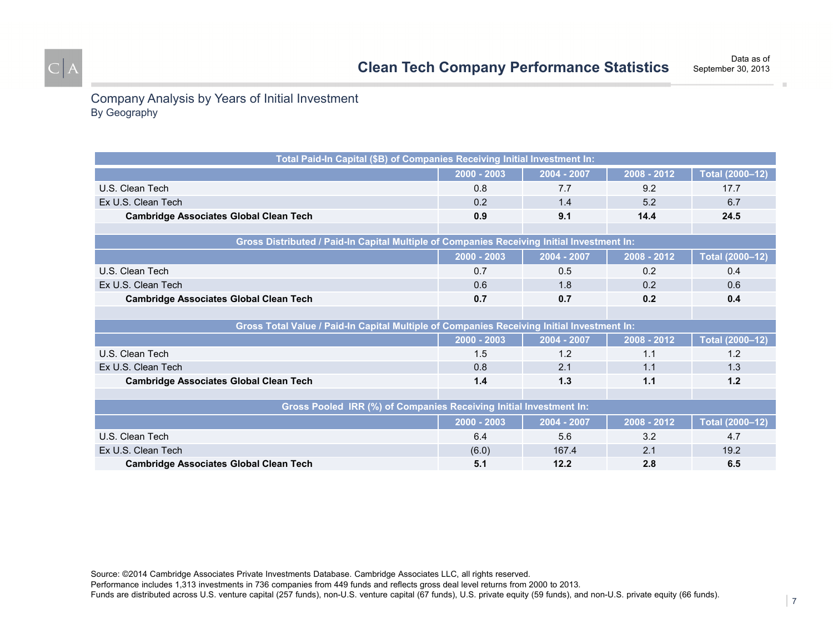Data as ofSeptember 30, 2013

## Company Analysis by Years of Initial Investment By Geography

| Total Paid-In Capital (\$B) of Companies Receiving Initial Investment In:                  |               |             |             |                 |  |
|--------------------------------------------------------------------------------------------|---------------|-------------|-------------|-----------------|--|
|                                                                                            | $2000 - 2003$ | 2004 - 2007 | 2008 - 2012 | Total (2000-12) |  |
| U.S. Clean Tech                                                                            | 0.8           | 7.7         | 9.2         | 17.7            |  |
| Ex U.S. Clean Tech                                                                         | 0.2           | 1.4         | 5.2         | 6.7             |  |
| <b>Cambridge Associates Global Clean Tech</b>                                              | 0.9           | 9.1         | 14.4        | 24.5            |  |
|                                                                                            |               |             |             |                 |  |
| Gross Distributed / Paid-In Capital Multiple of Companies Receiving Initial Investment In: |               |             |             |                 |  |
|                                                                                            | 2000 - 2003   | 2004 - 2007 | 2008 - 2012 | Total (2000-12) |  |
| U.S. Clean Tech                                                                            | 0.7           | 0.5         | 0.2         | 0.4             |  |
| Ex U.S. Clean Tech                                                                         | 0.6           | 1.8         | 0.2         | 0.6             |  |
| <b>Cambridge Associates Global Clean Tech</b>                                              | 0.7           | 0.7         | 0.2         | 0.4             |  |
|                                                                                            |               |             |             |                 |  |
| Gross Total Value / Paid-In Capital Multiple of Companies Receiving Initial Investment In: |               |             |             |                 |  |
|                                                                                            | 2000 - 2003   | 2004 - 2007 | 2008 - 2012 | Total (2000-12) |  |
| U.S. Clean Tech                                                                            | 1.5           | 1.2         | 1.1         | 1.2             |  |
| Ex U.S. Clean Tech                                                                         | 0.8           | 2.1         | 1.1         | 1.3             |  |
| <b>Cambridge Associates Global Clean Tech</b>                                              | 1.4           | 1.3         | 1.1         | 1.2             |  |
|                                                                                            |               |             |             |                 |  |
| Gross Pooled IRR (%) of Companies Receiving Initial Investment In:                         |               |             |             |                 |  |
|                                                                                            | 2000 - 2003   | 2004 - 2007 | 2008 - 2012 | Total (2000-12) |  |
| U.S. Clean Tech                                                                            | 6.4           | 5.6         | 3.2         | 4.7             |  |
| Ex U.S. Clean Tech                                                                         | (6.0)         | 167.4       | 2.1         | 19.2            |  |
| <b>Cambridge Associates Global Clean Tech</b>                                              | 5.1           | 12.2        | 2.8         | 6.5             |  |

Source: ©2014 Cambridge Associates Private Investments Database. Cambridge Associates LLC, all rights reserved.

Performance includes 1,313 investments in 736 companies from 449 funds and reflects gross deal level returns from 2000 to 2013.

Funds are distributed across U.S. venture capital (257 funds), non-U.S. venture capital (67 funds), U.S. private equity (59 funds), and non-U.S. private equity (66 funds).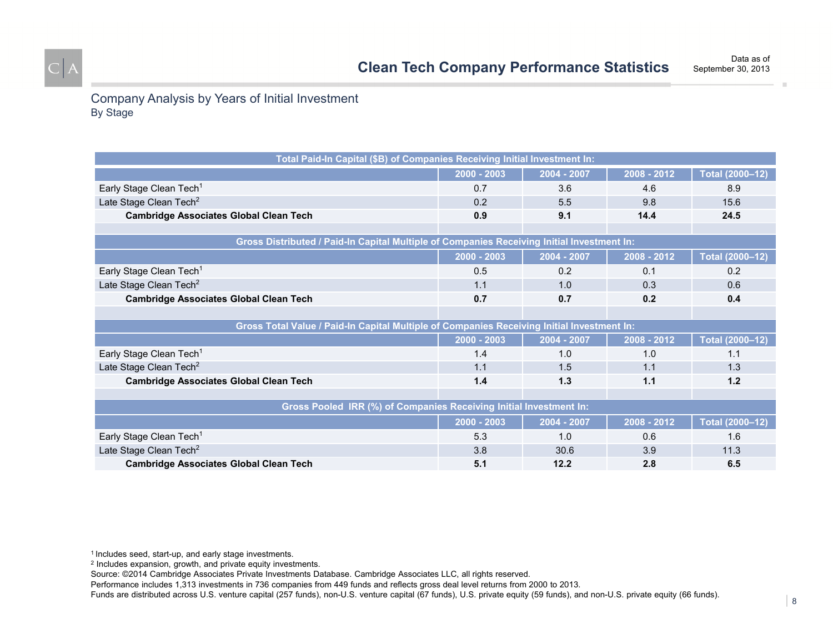Company Analysis by Years of Initial Investment By Stage

| Total Paid-In Capital (\$B) of Companies Receiving Initial Investment In:                  |               |             |               |                 |  |
|--------------------------------------------------------------------------------------------|---------------|-------------|---------------|-----------------|--|
|                                                                                            | $2000 - 2003$ | 2004 - 2007 | 2008 - 2012   | Total (2000-12) |  |
| Early Stage Clean Tech <sup>1</sup>                                                        | 0.7           | 3.6         | 4.6           | 8.9             |  |
| Late Stage Clean Tech <sup>2</sup>                                                         | 0.2           | 5.5         | 9.8           | 15.6            |  |
| <b>Cambridge Associates Global Clean Tech</b>                                              | 0.9           | 9.1         | 14.4          | 24.5            |  |
|                                                                                            |               |             |               |                 |  |
| Gross Distributed / Paid-In Capital Multiple of Companies Receiving Initial Investment In: |               |             |               |                 |  |
|                                                                                            | 2000 - 2003   | 2004 - 2007 | 2008 - 2012   | Total (2000-12) |  |
| Early Stage Clean Tech <sup>1</sup>                                                        | 0.5           | 0.2         | 0.1           | 0.2             |  |
| Late Stage Clean Tech <sup>2</sup>                                                         | 1.1           | 1.0         | 0.3           | 0.6             |  |
| <b>Cambridge Associates Global Clean Tech</b>                                              | 0.7           | 0.7         | 0.2           | 0.4             |  |
|                                                                                            |               |             |               |                 |  |
| Gross Total Value / Paid-In Capital Multiple of Companies Receiving Initial Investment In: |               |             |               |                 |  |
|                                                                                            | 2000 - 2003   | 2004 - 2007 | 2008 - 2012   | Total (2000-12) |  |
| Early Stage Clean Tech <sup>1</sup>                                                        | 1.4           | 1.0         | 1.0           | 1.1             |  |
| Late Stage Clean Tech <sup>2</sup>                                                         | 1.1           | 1.5         | 1.1           | 1.3             |  |
| <b>Cambridge Associates Global Clean Tech</b>                                              | 1.4           | 1.3         | 1.1           | 1.2             |  |
|                                                                                            |               |             |               |                 |  |
| Gross Pooled IRR (%) of Companies Receiving Initial Investment In:                         |               |             |               |                 |  |
|                                                                                            | $2000 - 2003$ | 2004 - 2007 | $2008 - 2012$ | Total (2000-12) |  |
| Early Stage Clean Tech <sup>1</sup>                                                        | 5.3           | 1.0         | 0.6           | 1.6             |  |
| Late Stage Clean Tech <sup>2</sup>                                                         | 3.8           | 30.6        | 3.9           | 11.3            |  |
| <b>Cambridge Associates Global Clean Tech</b>                                              | 5.1           | 12.2        | 2.8           | 6.5             |  |

1 Includes seed, start-up, and early stage investments.

2 Includes expansion, growth, and private equity investments.

Source: ©2014 Cambridge Associates Private Investments Database. Cambridge Associates LLC, all rights reserved.

Performance includes 1,313 investments in 736 companies from 449 funds and reflects gross deal level returns from 2000 to 2013.

Funds are distributed across U.S. venture capital (257 funds), non-U.S. venture capital (67 funds), U.S. private equity (59 funds), and non-U.S. private equity (66 funds).

Data as of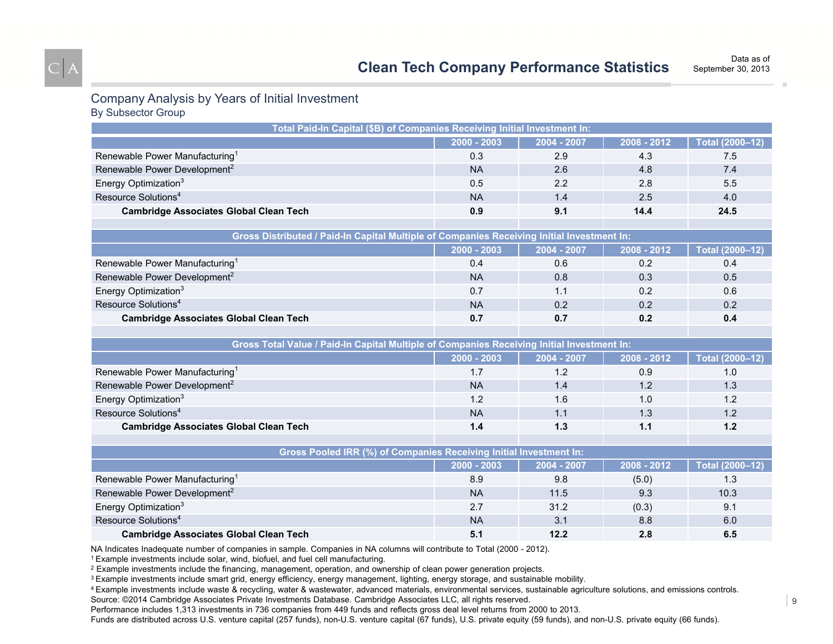#### Company Analysis by Years of Initial Investment By Subsector Group

| Total Paid-In Capital (\$B) of Companies Receiving Initial Investment In:                  |               |             |             |                 |  |
|--------------------------------------------------------------------------------------------|---------------|-------------|-------------|-----------------|--|
|                                                                                            | $2000 - 2003$ | 2004 - 2007 | 2008 - 2012 | Total (2000-12) |  |
| Renewable Power Manufacturing <sup>1</sup>                                                 | 0.3           | 2.9         | 4.3         | 7.5             |  |
| Renewable Power Development <sup>2</sup>                                                   | <b>NA</b>     | 2.6         | 4.8         | 7.4             |  |
| Energy Optimization <sup>3</sup>                                                           | 0.5           | 2.2         | 2.8         | 5.5             |  |
| Resource Solutions <sup>4</sup>                                                            | <b>NA</b>     | 1.4         | 2.5         | 4.0             |  |
| <b>Cambridge Associates Global Clean Tech</b>                                              | 0.9           | 9.1         | 14.4        | 24.5            |  |
|                                                                                            |               |             |             |                 |  |
| Gross Distributed / Paid-In Capital Multiple of Companies Receiving Initial Investment In: |               |             |             |                 |  |
|                                                                                            | 2000 - 2003   | 2004 - 2007 | 2008 - 2012 | Total (2000-12) |  |
| Renewable Power Manufacturing <sup>1</sup>                                                 | 0.4           | 0.6         | 0.2         | 0.4             |  |
| Renewable Power Development <sup>2</sup>                                                   | <b>NA</b>     | 0.8         | 0.3         | 0.5             |  |
| Energy Optimization <sup>3</sup>                                                           | 0.7           | 1.1         | 0.2         | 0.6             |  |
| Resource Solutions <sup>4</sup>                                                            | <b>NA</b>     | 0.2         | 0.2         | 0.2             |  |
| <b>Cambridge Associates Global Clean Tech</b>                                              | 0.7           | 0.7         | 0.2         | 0.4             |  |
|                                                                                            |               |             |             |                 |  |
| Gross Total Value / Paid-In Capital Multiple of Companies Receiving Initial Investment In: |               |             |             |                 |  |
|                                                                                            | $2000 - 2003$ | 2004 - 2007 | 2008 - 2012 | Total (2000-12) |  |
| Renewable Power Manufacturing <sup>1</sup>                                                 | 1.7           | 1.2         | 0.9         | 1.0             |  |
| Renewable Power Development <sup>2</sup>                                                   | <b>NA</b>     | 1.4         | 1.2         | 1.3             |  |
| Energy Optimization <sup>3</sup>                                                           | 1.2           | 1.6         | 1.0         | 1.2             |  |
| Resource Solutions <sup>4</sup>                                                            | <b>NA</b>     | 1.1         | 1.3         | 1.2             |  |
| <b>Cambridge Associates Global Clean Tech</b>                                              | 1.4           | 1.3         | $1.1$       | 1.2             |  |
|                                                                                            |               |             |             |                 |  |
| Gross Pooled IRR (%) of Companies Receiving Initial Investment In:                         |               |             |             |                 |  |
|                                                                                            | 2000 - 2003   | 2004 - 2007 | 2008 - 2012 | Total (2000-12) |  |
| Renewable Power Manufacturing <sup>1</sup>                                                 | 8.9           | 9.8         | (5.0)       | 1.3             |  |
| Renewable Power Development <sup>2</sup>                                                   | <b>NA</b>     | 11.5        | 9.3         | 10.3            |  |
| Energy Optimization <sup>3</sup>                                                           | 2.7           | 31.2        | (0.3)       | 9.1             |  |
| Resource Solutions <sup>4</sup>                                                            | <b>NA</b>     | 3.1         | 8.8         | 6.0             |  |
| <b>Cambridge Associates Global Clean Tech</b>                                              | 5.1           | 12.2        | 2.8         | 6.5             |  |

NA Indicates Inadequate number of companies in sample. Companies in NA columns will contribute to Total (2000 - 2012).

1 Example investments include solar, wind, biofuel, and fuel cell manufacturing.

2 Example investments include the financing, management, operation, and ownership of clean power generation projects.

<sup>3</sup> Example investments include smart grid, energy efficiency, energy management, lighting, energy storage, and sustainable mobility.

4 Example investments include waste & recycling, water & wastewater, advanced materials, environmental services, sustainable agriculture solutions, and emissions controls. Source: ©2014 Cambridge Associates Private Investments Database. Cambridge Associates LLC, all rights reserved.

Performance includes 1,313 investments in 736 companies from 449 funds and reflects gross deal level returns from 2000 to 2013.

Funds are distributed across U.S. venture capital (257 funds), non-U.S. venture capital (67 funds), U.S. private equity (59 funds), and non-U.S. private equity (66 funds).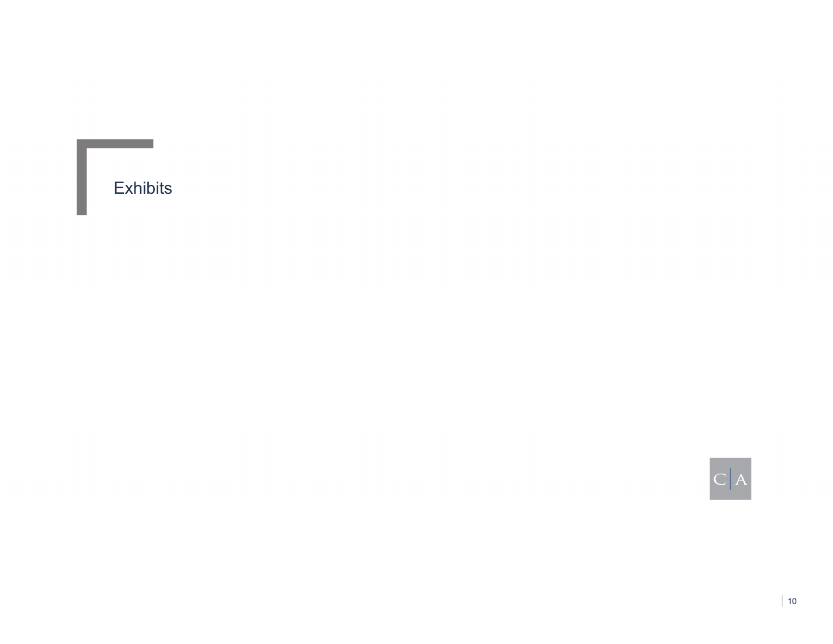Exhibits

 $C|A$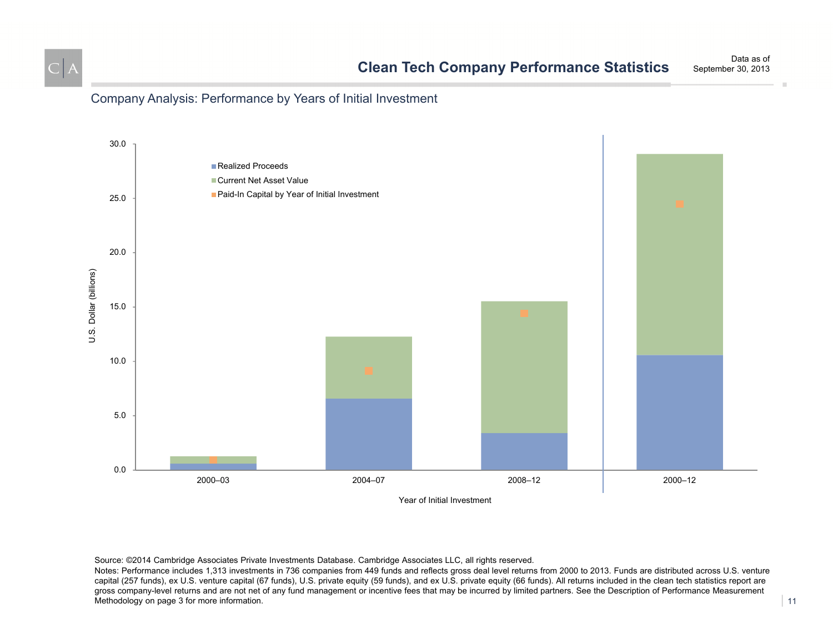

## Company Analysis: Performance by Years of Initial Investment



Source: ©2014 Cambridge Associates Private Investments Database. Cambridge Associates LLC, all rights reserved.

Notes: Performance includes 1,313 investments in 736 companies from 449 funds and reflects gross deal level returns from 2000 to 2013. Funds are distributed across U.S. venture capital (257 funds), ex U.S. venture capital (67 funds), U.S. private equity (59 funds), and ex U.S. private equity (66 funds). All returns included in the clean tech statistics report are gross company-level returns and are not net of any fund management or incentive fees that may be incurred by limited partners. See the Description of Performance Measurement Methodology on page 3 for more information.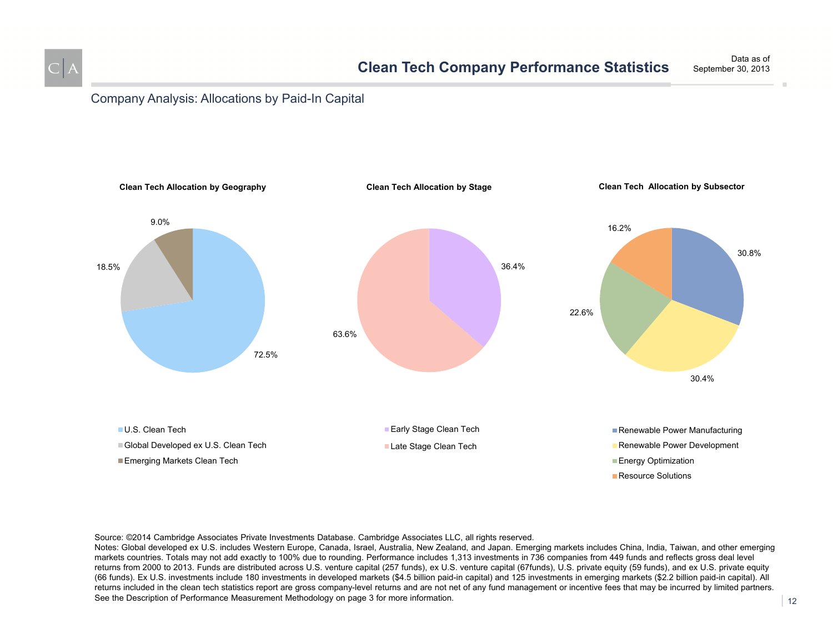

### Company Analysis: Allocations by Paid-In Capital



#### Source: ©2014 Cambridge Associates Private Investments Database. Cambridge Associates LLC, all rights reserved.

Notes: Global developed ex U.S. includes Western Europe, Canada, Israel, Australia, New Zealand, and Japan. Emerging markets includes China, India, Taiwan, and other emerging markets countries. Totals may not add exactly to 100% due to rounding. Performance includes 1,313 investments in 736 companies from 449 funds and reflects gross deal level returns from 2000 to 2013. Funds are distributed across U.S. venture capital (257 funds), ex U.S. venture capital (67funds), U.S. private equity (59 funds), and ex U.S. private equity (66 funds). Ex U.S. investments include 180 investments in developed markets (\$4.5 billion paid-in capital) and 125 investments in emerging markets (\$2.2 billion paid-in capital). All returns included in the clean tech statistics report are gross company-level returns and are not net of any fund management or incentive fees that may be incurred by limited partners. See the Description of Performance Measurement Methodology on page 3 for more information.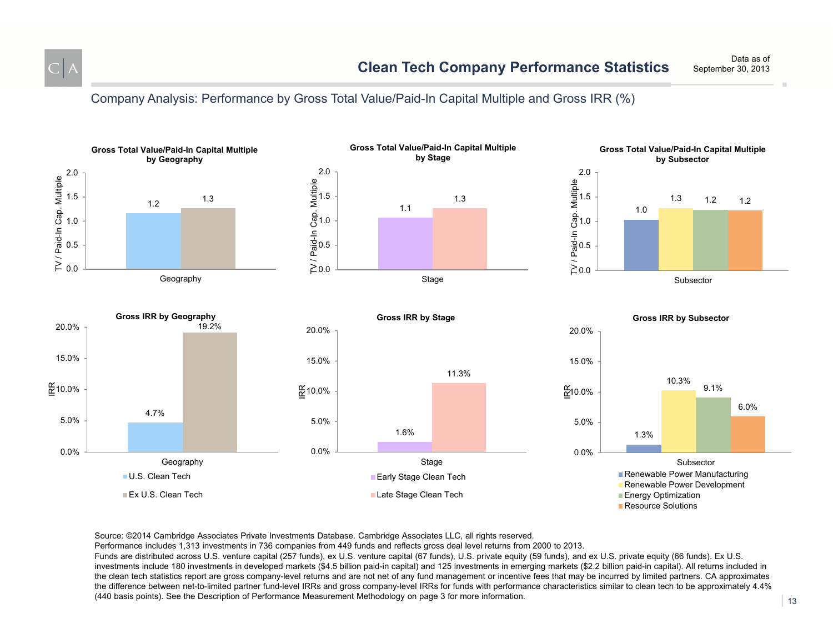

Data as ofSeptember 30, 2013

Company Analysis: Performance by Gross Total Value/Paid-In Capital Multiple and Gross IRR (%)



Source: ©2014 Cambridge Associates Private Investments Database. Cambridge Associates LLC, all rights reserved.

Performance includes 1,313 investments in 736 companies from 449 funds and reflects gross deal level returns from 2000 to 2013.

Funds are distributed across U.S. venture capital (257 funds), ex U.S. venture capital (67 funds), U.S. private equity (59 funds), and ex U.S. private equity (66 funds). Ex U.S. investments include 180 investments in developed markets (\$4.5 billion paid-in capital) and 125 investments in emerging markets (\$2.2 billion paid-in capital). All returns included in the clean tech statistics report are gross company-level returns and are not net of any fund management or incentive fees that may be incurred by limited partners. CA approximates the difference between net-to-limited partner fund-level IRRs and gross company-level IRRs for funds with performance characteristics similar to clean tech to be approximately 4.4% (440 basis points). See the Description of Performance Measurement Methodology on page 3 for more information.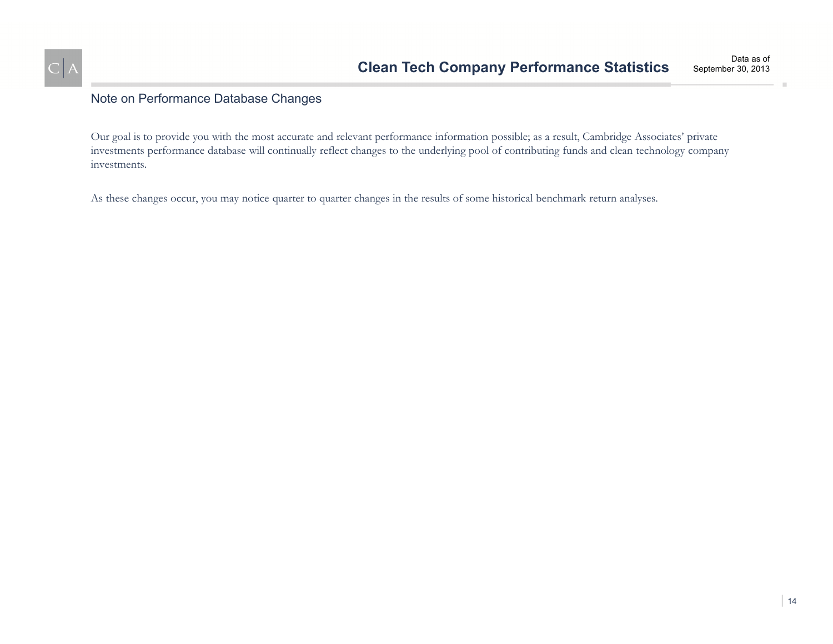

## Note on Performance Database Changes

Our goal is to provide you with the most accurate and relevant performance information possible; as a result, Cambridge Associates' private investments performance database will continually reflect changes to the underlying pool of contributing funds and clean technology company investments.

As these changes occur, you may notice quarter to quarter changes in the results of some historical benchmark return analyses.